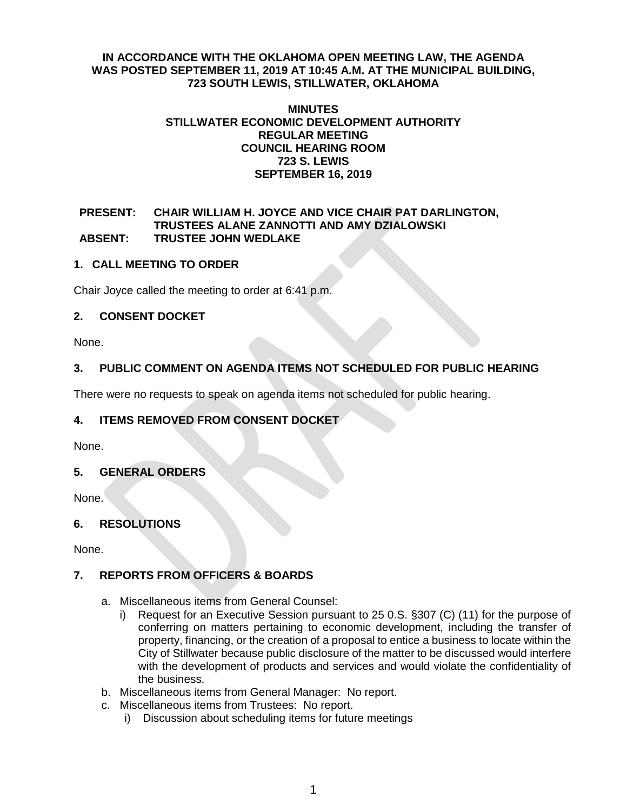### **IN ACCORDANCE WITH THE OKLAHOMA OPEN MEETING LAW, THE AGENDA WAS POSTED SEPTEMBER 11, 2019 AT 10:45 A.M. AT THE MUNICIPAL BUILDING, 723 SOUTH LEWIS, STILLWATER, OKLAHOMA**

#### **MINUTES STILLWATER ECONOMIC DEVELOPMENT AUTHORITY REGULAR MEETING COUNCIL HEARING ROOM 723 S. LEWIS SEPTEMBER 16, 2019**

### **PRESENT: CHAIR WILLIAM H. JOYCE AND VICE CHAIR PAT DARLINGTON, TRUSTEES ALANE ZANNOTTI AND AMY DZIALOWSKI ABSENT: TRUSTEE JOHN WEDLAKE**

## **1. CALL MEETING TO ORDER**

Chair Joyce called the meeting to order at 6:41 p.m.

## **2. CONSENT DOCKET**

None.

# **3. PUBLIC COMMENT ON AGENDA ITEMS NOT SCHEDULED FOR PUBLIC HEARING**

There were no requests to speak on agenda items not scheduled for public hearing.

# **4. ITEMS REMOVED FROM CONSENT DOCKET**

None.

# **5. GENERAL ORDERS**

None.

# **6. RESOLUTIONS**

None.

# **7. REPORTS FROM OFFICERS & BOARDS**

- a. Miscellaneous items from General Counsel:
	- i) Request for an Executive Session pursuant to 25 0.S. §307 (C) (11) for the purpose of conferring on matters pertaining to economic development, including the transfer of property, financing, or the creation of a proposal to entice a business to locate within the City of Stillwater because public disclosure of the matter to be discussed would interfere with the development of products and services and would violate the confidentiality of the business.
- b. Miscellaneous items from General Manager: No report.
- c. Miscellaneous items from Trustees: No report.
	- i) Discussion about scheduling items for future meetings